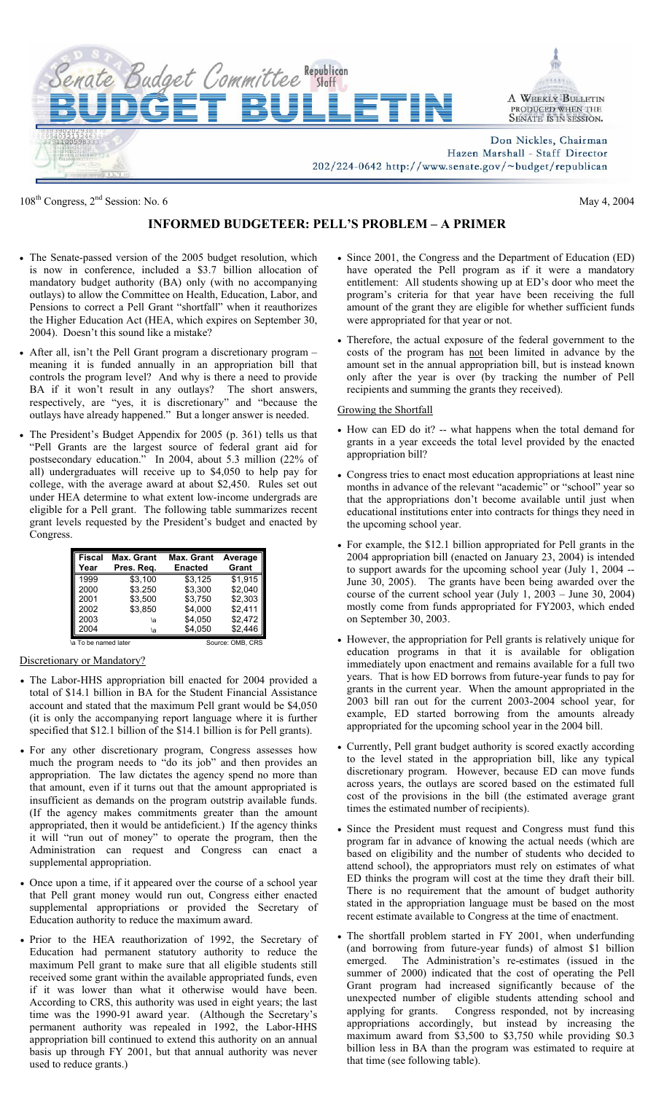

108<sup>th</sup> Congress,  $2<sup>nd</sup>$  Session: No. 6 May 4, 2004

# **INFORMED BUDGETEER: PELL'S PROBLEM – A PRIMER**

- The Senate-passed version of the 2005 budget resolution, which is now in conference, included a \$3.7 billion allocation of mandatory budget authority (BA) only (with no accompanying outlays) to allow the Committee on Health, Education, Labor, and Pensions to correct a Pell Grant "shortfall" when it reauthorizes the Higher Education Act (HEA, which expires on September 30, 2004). Doesn't this sound like a mistake?
- After all, isn't the Pell Grant program a discretionary program meaning it is funded annually in an appropriation bill that controls the program level? And why is there a need to provide BA if it won't result in any outlays? The short answers, respectively, are "yes, it is discretionary" and "because the outlays have already happened." But a longer answer is needed.
- The President's Budget Appendix for 2005 (p. 361) tells us that "Pell Grants are the largest source of federal grant aid for postsecondary education." In 2004, about 5.3 million (22% of all) undergraduates will receive up to \$4,050 to help pay for college, with the average award at about \$2,450. Rules set out under HEA determine to what extent low-income undergrads are eligible for a Pell grant. The following table summarizes recent grant levels requested by the President's budget and enacted by Congress.

| <b>Fiscal</b>        | Max. Grant | <b>Max. Grant</b> | Average |  |
|----------------------|------------|-------------------|---------|--|
| Year                 | Pres. Reg. | <b>Enacted</b>    | Grant   |  |
| 1999                 | \$3,100    | \$3,125           | \$1.915 |  |
| 2000                 | \$3.250    | \$3.300           | \$2.040 |  |
| 2001                 | \$3.500    | \$3.750           | \$2.303 |  |
| 2002                 | \$3,850    | \$4,000           | \$2,411 |  |
| 2003                 | ۱a         | \$4.050           | \$2,472 |  |
| 2004                 | ۱a         | \$4,050           | \$2,446 |  |
| \a To be named later |            | Source: OMB, CRS  |         |  |

Discretionary or Mandatory?

- The Labor-HHS appropriation bill enacted for 2004 provided a total of \$14.1 billion in BA for the Student Financial Assistance account and stated that the maximum Pell grant would be \$4,050 (it is only the accompanying report language where it is further specified that \$12.1 billion of the \$14.1 billion is for Pell grants).
- For any other discretionary program, Congress assesses how much the program needs to "do its job" and then provides an appropriation. The law dictates the agency spend no more than that amount, even if it turns out that the amount appropriated is insufficient as demands on the program outstrip available funds. (If the agency makes commitments greater than the amount appropriated, then it would be antideficient.) If the agency thinks it will "run out of money" to operate the program, then the Administration can request and Congress can enact a supplemental appropriation.
- Once upon a time, if it appeared over the course of a school year that Pell grant money would run out, Congress either enacted supplemental appropriations or provided the Secretary of Education authority to reduce the maximum award.
- Prior to the HEA reauthorization of 1992, the Secretary of Education had permanent statutory authority to reduce the maximum Pell grant to make sure that all eligible students still received some grant within the available appropriated funds, even if it was lower than what it otherwise would have been. According to CRS, this authority was used in eight years; the last time was the 1990-91 award year. (Although the Secretary's permanent authority was repealed in 1992, the Labor-HHS appropriation bill continued to extend this authority on an annual basis up through FY 2001, but that annual authority was never used to reduce grants.)
- Since 2001, the Congress and the Department of Education (ED) have operated the Pell program as if it were a mandatory entitlement: All students showing up at ED's door who meet the program's criteria for that year have been receiving the full amount of the grant they are eligible for whether sufficient funds were appropriated for that year or not.
- Therefore, the actual exposure of the federal government to the costs of the program has not been limited in advance by the amount set in the annual appropriation bill, but is instead known only after the year is over (by tracking the number of Pell recipients and summing the grants they received).

### Growing the Shortfall

- How can ED do it? -- what happens when the total demand for grants in a year exceeds the total level provided by the enacted appropriation bill?
- Congress tries to enact most education appropriations at least nine months in advance of the relevant "academic" or "school" year so that the appropriations don't become available until just when educational institutions enter into contracts for things they need in the upcoming school year.
- For example, the \$12.1 billion appropriated for Pell grants in the 2004 appropriation bill (enacted on January 23, 2004) is intended to support awards for the upcoming school year (July 1, 2004 -- June 30, 2005). The grants have been being awarded over the course of the current school year (July 1, 2003 – June 30, 2004) mostly come from funds appropriated for FY2003, which ended on September 30, 2003.
- However, the appropriation for Pell grants is relatively unique for education programs in that it is available for obligation immediately upon enactment and remains available for a full two years. That is how ED borrows from future-year funds to pay for grants in the current year. When the amount appropriated in the 2003 bill ran out for the current 2003-2004 school year, for example, ED started borrowing from the amounts already appropriated for the upcoming school year in the 2004 bill.
- Currently, Pell grant budget authority is scored exactly according to the level stated in the appropriation bill, like any typical discretionary program. However, because ED can move funds across years, the outlays are scored based on the estimated full cost of the provisions in the bill (the estimated average grant times the estimated number of recipients).
- Since the President must request and Congress must fund this program far in advance of knowing the actual needs (which are based on eligibility and the number of students who decided to attend school), the appropriators must rely on estimates of what ED thinks the program will cost at the time they draft their bill. There is no requirement that the amount of budget authority stated in the appropriation language must be based on the most recent estimate available to Congress at the time of enactment.
- The shortfall problem started in FY 2001, when underfunding (and borrowing from future-year funds) of almost \$1 billion emerged. The Administration's re-estimates (issued in the summer of 2000) indicated that the cost of operating the Pell Grant program had increased significantly because of the unexpected number of eligible students attending school and applying for grants. Congress responded, not by increasing appropriations accordingly, but instead by increasing the maximum award from \$3,500 to \$3,750 while providing \$0.3 billion less in BA than the program was estimated to require at that time (see following table).